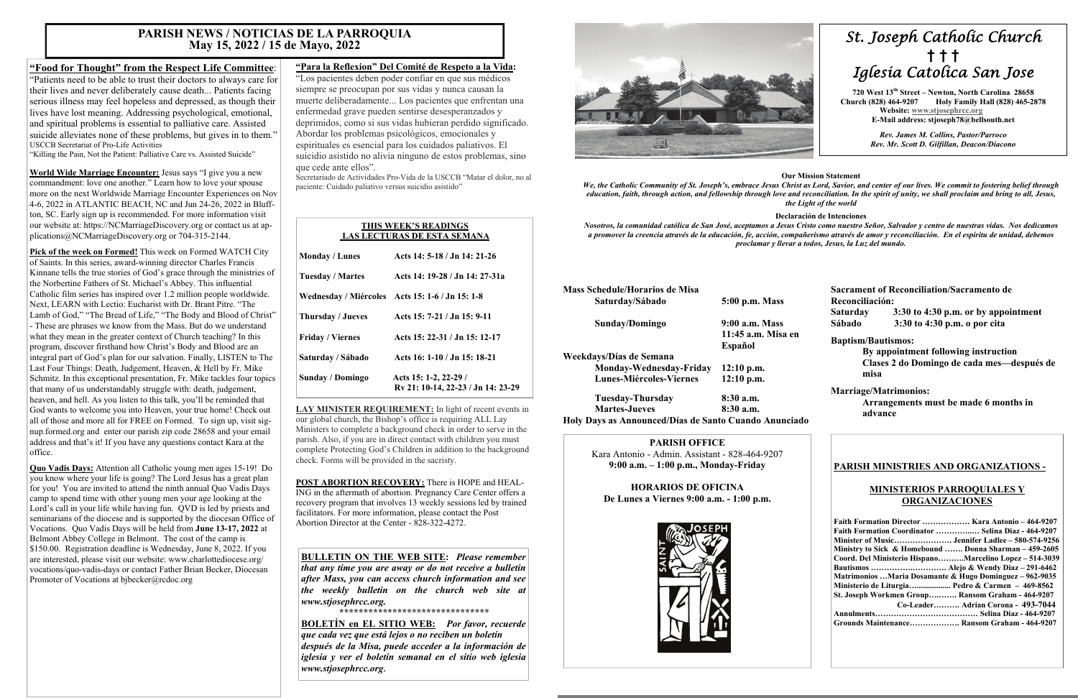# *St. Joseph Catholic Church*  **†****† †**  *Iglesia Catolica San Jose*

**720 West 13th Street – Newton, North Carolina 28658 Church (828) 464-9207 Holy Family Hall (828) 465-2878 Website: [www.stjosephrcc.org](http://www.stjoseph4cc.org/) E-Mail address: stjoseph78@bellsouth.net** 

> *Rev. James M. Collins, Pastor/Parroco Rev. Mr. Scott D. Gilfillan, Deacon/Diacono*

#### **Our Mission Statement**

*We, the Catholic Community of St. Joseph's, embrace Jesus Christ as Lord, Savior, and center of our lives. We commit to fostering belief through education, faith, through action, and fellowship through love and reconciliation. In the spirit of unity, we shall proclaim and bring to all, Jesus, the Light of the world* 

#### **Declaración de Intenciones**

*Nosotros, la comunidad católica de San José, aceptamos a Jesus Cristo como nuestro Señor, Salvador y centro de nuestras vidas. Nos dedicamos a promover la creencia através de la educación, fe, acción, compañerismo através de amor y reconciliación. En el espíritu de unidad, debemos proclamar y llevar a todos, Jesus, la Luz del mundo.* 

| <b>Mass Schedule/Horarios de Misa</b> |                    |
|---------------------------------------|--------------------|
| Saturday/Sábado                       | 5:00 p.m. Mass     |
| Sunday/Domingo                        | 9:00 a.m. Mass     |
|                                       | 11:45 a.m. Misa en |
|                                       | Español            |
| Weekdays/Días de Semana               |                    |
| Monday-Wednesday-Friday               | $12:10$ p.m.       |
| <b>Lunes-Miércoles-Viernes</b>        | $12:10$ p.m.       |
| Tuesday-Thursday                      | 8:30a.m.           |
| <b>Martes-Jueves</b>                  | $8:30$ a.m.        |

**Holy Days as Announced/Días de Santo Cuando Anunciado** 

**Sacrament of Reconciliation/Sacramento de Reconciliación: Saturday 3:30 to 4:30 p.m. or by appointment Sábado 3:30 to 4:30 p.m. o por cita** 

#### **Baptism/Bautismos:**

 **By appointment following instruction Clases 2 do Domingo de cada mes—después de misa** 

### **Marriage/Matrimonios:**

 **Arrangements must be made 6 months in advance** 

# **PARISH OFFICE**

Kara Antonio - Admin. Assistant - 828-464-9207 **9:00 a.m. – 1:00 p.m., Monday-Friday** 

**HORARIOS DE OFICINA De Lunes a Viernes 9:00 a.m. - 1:00 p.m.** 



## **PARISH MINISTRIES AND ORGANIZATIONS -**

### **MINISTERIOS PARROQUIALES Y ORGANIZACIONES**

| Faith Formation Director  Kara Antonio - 464-9207       |
|---------------------------------------------------------|
| Faith Formation Coordinator  Selina Diaz - 464-9207     |
|                                                         |
| Ministry to Sick & Homebound  Donna Sharman – 459-2605  |
| Coord. Del Ministerio HispanoMarcelino Lopez – 514-3039 |
|                                                         |
| Matrimonios Maria Dosamante & Hugo Dominguez – 962-9035 |
| Ministerio de Liturgia Pedro & Carmen $-469-8562$       |
| St. Joseph Workmen Group Ransom Graham - 464-9207       |
| Co-Leader Adrian Corona - 493-7044                      |
|                                                         |
| Grounds Maintenance Ransom Graham - 464-9207            |

**Quo Vadis Days:** Attention all Catholic young men ages 15-19! Do you know where your life is going? The Lord Jesus has a great plan for you! You are invited to attend the ninth annual Quo Vadis Days camp to spend time with other young men your age looking at the Lord's call in your life while having fun. QVD is led by priests and seminarians of the diocese and is supported by the diocesan Office of Vocations. Quo Vadis Days will be held from **June 13-17, 2022** at Belmont Abbey College in Belmont. The cost of the camp is \$150.00. Registration deadline is Wednesday, June 8, 2022. If you are interested, please visit our website: www.charlottediocese.org/ vocations/quo-vadis-days or contact Father Brian Becker, Diocesan Promoter of Vocations at bjbecker@rcdoc.org

# **"Food for Thought" from the Respect Life Committee**:

"Patients need to be able to trust their doctors to always care for their lives and never deliberately cause death... Patients facing serious illness may feel hopeless and depressed, as though their lives have lost meaning. Addressing psychological, emotional, and spiritual problems is essential to palliative care. Assisted suicide alleviates none of these problems, but gives in to them." USCCB Secretariat of Pro-Life Activities

"Killing the Pain, Not the Patient: Palliative Care vs. Assisted Suicide"

**World Wide Marriage Encounter:** Jesus says "I give you a new commandment: love one another." Learn how to love your spouse more on the next Worldwide Marriage Encounter Experiences on Nov 4-6, 2022 in ATLANTIC BEACH, NC and Jun 24-26, 2022 in Bluffton, SC. Early sign up is recommended. For more information visit our website at: https://NCMarriageDiscovery.org or contact us at applications@NCMarriageDiscovery.org or 704-315-2144.

**Pick of the week on Formed!** This week on Formed WATCH City of Saints. In this series, award-winning director Charles Francis Kinnane tells the true stories of God's grace through the ministries of the Norbertine Fathers of St. Michael's Abbey. This influential Catholic film series has inspired over 1.2 million people worldwide. Next, LEARN with Lectio: Eucharist with Dr. Brant Pitre. "The Lamb of God," "The Bread of Life," "The Body and Blood of Christ" - These are phrases we know from the Mass. But do we understand what they mean in the greater context of Church teaching? In this program, discover firsthand how Christ's Body and Blood are an integral part of God's plan for our salvation. Finally, LISTEN to The Last Four Things: Death, Judgement, Heaven, & Hell by Fr. Mike Schmitz. In this exceptional presentation, Fr. Mike tackles four topics that many of us understandably struggle with: death, judgement, heaven, and hell. As you listen to this talk, you'll be reminded that God wants to welcome you into Heaven, your true home! Check out all of those and more all for FREE on Formed. To sign up, visit signup.formed.org and enter our parish zip code 28658 and your email address and that's it! If you have any questions contact Kara at the office.

# **"Para la Reflexion" Del Comité de Respeto a la Vida:**

"Los pacientes deben poder confiar en que sus médicos siempre se preocupan por sus vidas y nunca causan la muerte deliberadamente... Los pacientes que enfrentan una enfermedad grave pueden sentirse desesperanzados y deprimidos, como si sus vidas hubieran perdido significado. Abordar los problemas psicológicos, emocionales y espirituales es esencial para los cuidados paliativos. El suicidio asistido no alivia ninguno de estos problemas, sino que cede ante ellos".

Secretariado de Actividades Pro-Vida de la USCCB "Matar el dolor, no al paciente: Cuidado paliativo versus suicidio asistido"

**LAY MINISTER REQUIREMENT:** In light of recent events in our global church, the Bishop's office is requiring ALL Lay Ministers to complete a background check in order to serve in the parish. Also, if you are in direct contact with children you must complete Protecting God's Children in addition to the background check. Forms will be provided in the sacristy.

**POST ABORTION RECOVERY:** There is HOPE and HEAL-ING in the aftermath of abortion. Pregnancy Care Center offers a recovery program that involves 13 weekly sessions led by trained facilitators. For more information, please contact the Post Abortion Director at the Center - 828-322-4272.

# **PARISH NEWS / NOTICIAS DE LA PARROQUIA May 15, 2022 / 15 de Mayo, 2022**

# **THIS WEEK'S READINGS LAS LECTURAS DE ESTA SEMANA Monday / Lunes Acts 14: 5-18 / Jn 14: 21-26 Tuesday / Martes Acts 14: 19-28 / Jn 14: 27-31a Wednesday / Miércoles Acts 15: 1-6 / Jn 15: 1-8 Thursday / Jueves Acts 15: 7-21 / Jn 15: 9-11 Friday / Viernes Acts 15: 22-31 / Jn 15: 12-17 Saturday / Sábado Acts 16: 1-10 / Jn 15: 18-21 Sunday / Domingo Acts 15: 1-2, 22-29 / Rv 21: 10-14, 22-23 / Jn 14: 23-29**

**BULLETIN ON THE WEB SITE:** *Please remember that any time you are away or do not receive a bulletin after Mass, you can access church information and see the weekly bulletin on the church web site at www.stjosephrcc.org.* 

*\*\*\*\*\*\*\*\*\*\*\*\*\*\*\*\*\*\*\*\*\*\*\*\*\*\*\*\*\*\*\** 

**BOLETÍN en EL SITIO WEB:** *Por favor, recuerde que cada vez que está lejos o no reciben un boletín después de la Misa, puede acceder a la información de iglesia y ver el boletín semanal en el sitio web iglesia www.stjosephrcc.org***.**